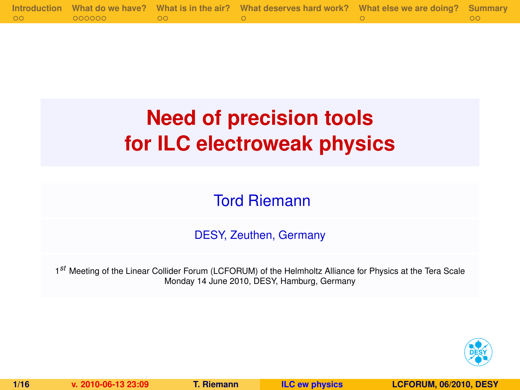|         |        | Introduction What do we have? What is in the air? What deserves hard work? What else we are doing? Summary |  |
|---------|--------|------------------------------------------------------------------------------------------------------------|--|
| $\circ$ | 000000 |                                                                                                            |  |

# **Need of precision tools for ILC electroweak physics**

Tord Riemann

DESY, Zeuthen, Germany

1 *st* Meeting of the Linear Collider Forum (LCFORUM) of the Helmholtz Alliance for Physics at the Tera Scale Monday 14 June 2010, DESY, Hamburg, Germany

<span id="page-0-0"></span>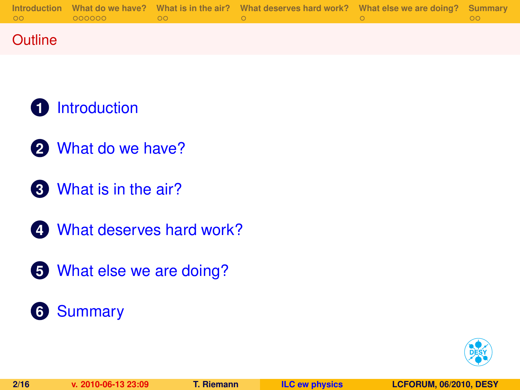|         |           | Introduction What do we have? What is in the air? What deserves hard work? What else we are doing? Summary |  |
|---------|-----------|------------------------------------------------------------------------------------------------------------|--|
| $\circ$ | 000000 00 |                                                                                                            |  |
|         |           |                                                                                                            |  |

### **Outline**

- [Introduction](#page-2-0)
- [What do we have?](#page-4-0)
- [What is in the air?](#page-10-0)
- [What deserves hard work?](#page-12-0)
- [What else we are doing?](#page-13-0)

# [Summary](#page-14-0)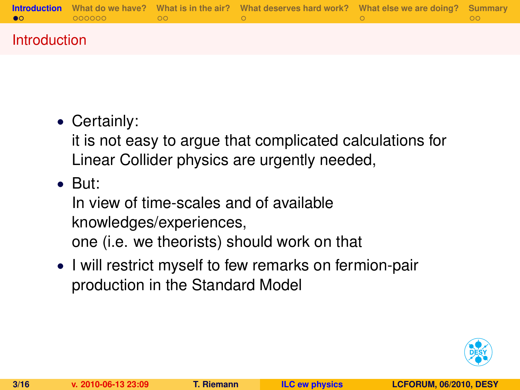|   |  | <b>Introduction</b> What do we have? What is in the air? What deserves hard work? What else we are doing? Summary |  |
|---|--|-------------------------------------------------------------------------------------------------------------------|--|
| ൈ |  |                                                                                                                   |  |
|   |  |                                                                                                                   |  |

### Introduction

## • Certainly:

it is not easy to argue that complicated calculations for Linear Collider physics are urgently needed,

• But:

In view of time-scales and of available knowledges/experiences, one (i.e. we theorists) should work on that

• I will restrict myself to few remarks on fermion-pair production in the Standard Model

<span id="page-2-0"></span>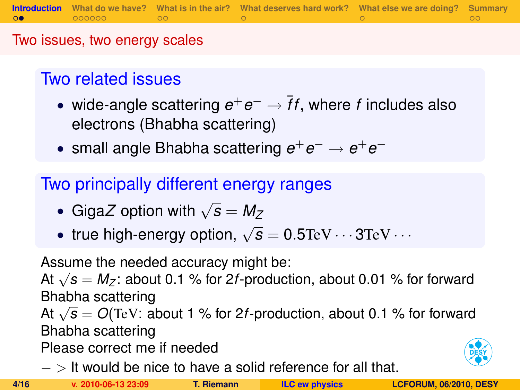Two issues, two energy scales

# Two related issues

- wide-angle scattering *e* <sup>+</sup>*e* <sup>−</sup> → ¯*ff*, where *f* includes also electrons (Bhabha scattering)
- small angle Bhabha scattering  $e^+e^- \rightarrow e^+e^-$

Two principally different energy ranges

- Giga*Z* option with  $\sqrt{s} = M_Z$
- true high-energy option,  $\sqrt{s} = 0.5$ TeV  $\cdots$  3TeV  $\cdots$

Assume the needed accuracy might be:

Assume the needed accuracy might be.<br>At  $\sqrt{s} = M_Z$ : about 0.1 % for 2*f*-production, about 0.01 % for forward Bhabha scattering

At <sup>√</sup> *s* = *O*(TeV: about 1 % for 2*f*-production, about 0.1 % for forward Bhabha scattering

Please correct me if needed

− > It would be nice to have a solid reference for all that.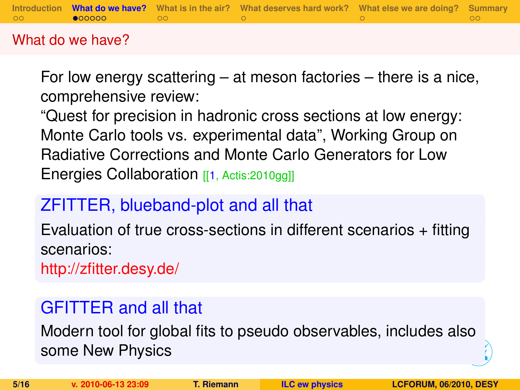|         |                       | Introduction What do we have? What is in the air? What deserves hard work? What else we are doing? Summary |  |
|---------|-----------------------|------------------------------------------------------------------------------------------------------------|--|
| $\circ$ | $\bullet$ 00000 00 00 |                                                                                                            |  |
|         |                       |                                                                                                            |  |

### What do we have?

For low energy scattering – at meson factories – there is a nice, comprehensive review:

"Quest for precision in hadronic cross sections at low energy: Monte Carlo tools vs. experimental data", Working Group on Radiative Corrections and Monte Carlo Generators for Low Energies Collaboration [[\[1,](#page-15-1) Actis: 2010gg]]

# ZFITTER, blueband-plot and all that

Evaluation of true cross-sections in different scenarios + fitting scenarios:

<http://zfitter.desy.de/>

# GFITTER and all that

<span id="page-4-0"></span>Modern tool for global fits to pseudo observables, includes also some New Physics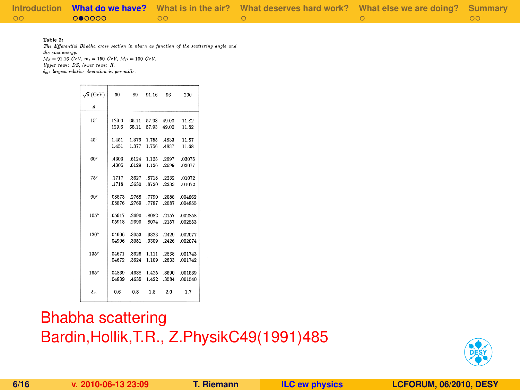|            |        |      | Introduction What do we have? What is in the air? What deserves hard work? What else we are doing? Summary |  |
|------------|--------|------|------------------------------------------------------------------------------------------------------------|--|
| $\circ$ 00 | 000000 | . ററ |                                                                                                            |  |

Table 2:

The differential Bhabha cross section in nbarn as function of the scattering angle and the cms-eneroy  $M_2 = 91.16 \ GeV$ ,  $m_r = 150 \ GeV$ ,  $M_H = 100 \ GeV$ .

Unner rows: DZ. lower roms: H.

 $\delta_{-1}$  largest relative deviation in ner mille.

| $\sqrt{s}$ (GeV) | 60                       | 89          | 91.16 93    |                        | 200                 |
|------------------|--------------------------|-------------|-------------|------------------------|---------------------|
| Ĥ                |                          |             |             |                        |                     |
| 15°              | 129.6                    | 65.11       |             | 57.93 49.00            | 11.82               |
|                  | 129.6                    | 65.11       | 57.93 49.00 |                        | 11.82               |
| 45°              | 1.451                    | 1.376       | 1.755       | 4833                   | 11.67               |
|                  | 1.451                    | 1.377       | 1.756 4837  |                        | 11.68               |
| 60°              |                          |             |             | 4303 .6124 1.125 .2697 | .03075              |
|                  | 4305                     | .6129       | 1.126 .2699 |                        | .03077              |
| 75°              |                          | .1717 .3627 | .8718       | .2232                  | .01072              |
|                  | .1718                    | .3630       | .8720       | .2233                  | .01072              |
| $90^\circ$       | .08873                   | .2768       |             |                        | .7790 .2088 .004862 |
|                  | .08876                   | .2769       | .7787       |                        | .2087 .004855       |
| $105^\circ$      | .05917 .2690             |             |             |                        | 8082 .2157 .002858  |
|                  | .05918 .2690 .8074 .2157 |             |             |                        | .002853             |
| $120^{\circ}$    | .04906 .3053             |             |             |                        | .9323 .2429 .002077 |
|                  | .04906                   | 3051        | 9309        | .2426                  | .002074             |
| $135^{\circ}$    | .04671 .3626             |             | 1.111       | .2838                  | .001743             |
|                  | .04672                   | .3624       |             | 1.109 .2833            | .001742             |
| 165°             | .04839                   | .4638       |             | 1.425 .3590            | .001539             |
|                  | .04839                   | .4635       | 1.422       | .3584                  | .001540             |
| $\delta$         | 0.6                      | 0.8         | 1.8         | 2.0                    | 1.7                 |

## Bhabha scattering Bardin,Hollik,T.R., Z.PhysikC49(1991)485

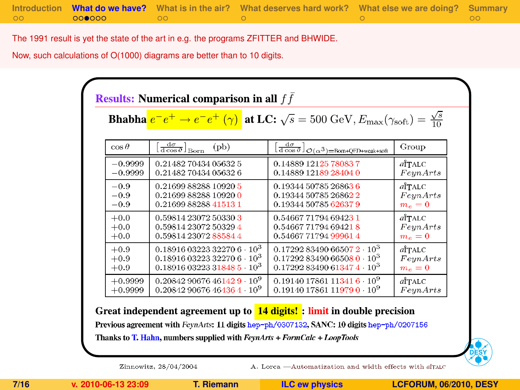|         |       | Introduction What do we have? What is in the air? What deserves hard work? What else we are doing? Summary |  |
|---------|-------|------------------------------------------------------------------------------------------------------------|--|
| $\circ$ | ററ∩ററ |                                                                                                            |  |

The 1991 result is yet the state of the art in e.g. the programs ZFITTER and BHWIDE.

Now, such calculations of O(1000) diagrams are better than to 10 digits.

|              |                                                               | <b>Bhabha</b> $e^-e^+ \to e^-e^+$ ( $\gamma$ ) at LC: $\sqrt{s} = 500$ GeV, $E_{\text{max}}(\gamma_{\text{soft}}) = \frac{\sqrt{s}}{10}$ |               |
|--------------|---------------------------------------------------------------|------------------------------------------------------------------------------------------------------------------------------------------|---------------|
| $\cos\theta$ | $[\frac{d\sigma}{d\cos\theta}]_{\rm Born}$<br>$(\mathrm{pb})$ | $[\frac{\mathrm{d}\sigma}{\mathrm{d}\cos\theta}]_{\mathcal{O}(\alpha^3) = \text{Born}$ -QED+weak+soft                                    | Group         |
| $-0.9999$    | 0.2148270434056325                                            | 0.14889 12125 78083 7                                                                                                                    | <b>aTTALC</b> |
| $-0.9999$    | 0.2148270434056326                                            | 0.14889 12189 28404 0                                                                                                                    | FeynArts      |
| $-0.9$       | 0.21699 88288 10920 5                                         | 0.19344 50785 26863 6                                                                                                                    | <b>aTTALC</b> |
| $-0.9$       | 0.2169988288109200                                            | 0.19344 50785 26862 2                                                                                                                    | FeynArts      |
| $-0.9$       | 0.21699 88288 41513 1                                         | 0.19344 50785 62637 9                                                                                                                    | $m_e = 0$     |
| $+0.0$       | 0.59814 23072 50330 3                                         | 0.54667 71794 69423 1                                                                                                                    | <b>aTTALC</b> |
| $+0.0$       | 0.59814 23072 50329 4                                         | 0.54667 71794 69421 8                                                                                                                    | FeynArts      |
| $+0.0$       | 0.59814 23072 88584 4                                         | 0.54667 71794 99961 4                                                                                                                    | $m_e = 0$     |
| $+0.9$       | $0.1891603223322706\cdot 10^3$                                | $0.1729283490665072 \cdot 10^3$                                                                                                          | <b>aTTALC</b> |
| $+0.9$       | $0.1891603223322706 \cdot 10^3$                               | $0.1729283490665080 \cdot 10^3$                                                                                                          | FeynArts      |
| $+0.9$       | 0.18916 03223 31848 5 10 <sup>3</sup>                         | $0.1729283490613474 \cdot 10^3$                                                                                                          | $m_e = 0$     |
| $+0.9999$    | $0.2084290676461429\cdot 10^9$                                | $0.1914017861113416\cdot 10^9$                                                                                                           | <b>aTTALC</b> |
| $+0.9999$    | $0.2084290676464364 \cdot 10^9$                               | $0.1914017861119790 \cdot 10^9$                                                                                                          | FeynArts      |

Previous agreement with FeynArts: 11 digits hep-ph/0307132, SANC: 10 digits hep-ph/0207156 Thanks to T. Hahn, numbers supplied with FeynArts + FormCalc + LoopTools



Zinnowitz, 28/04/2004

A. Lorca -- Automatization and width effects with aTALC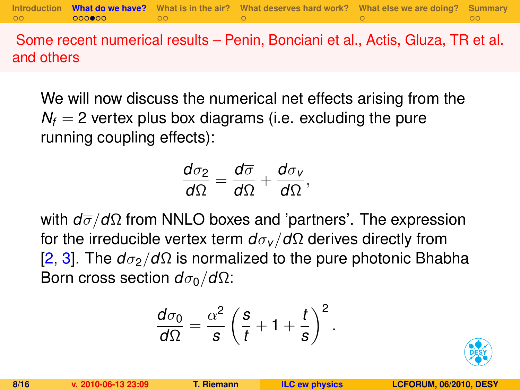**[Introduction](#page-2-0) [What do we have?](#page-4-0) [What is in the air?](#page-10-0) [What deserves hard work?](#page-12-0) [What else we are doing?](#page-13-0) [Summary](#page-14-0)**

Some recent numerical results – Penin, Bonciani et al., Actis, Gluza, TR et al. and others

We will now discuss the numerical net effects arising from the  $N_f = 2$  vertex plus box diagrams (i.e. excluding the pure running coupling effects):

$$
\frac{d\sigma_2}{d\Omega}=\frac{d\overline{\sigma}}{d\Omega}+\frac{d\sigma_v}{d\Omega},
$$

with *d*σ/*d*Ω from NNLO boxes and 'partners'. The expression for the irreducible vertex term *d*σ*<sup>v</sup>* /*d*Ω derives directly from [\[2,](#page-15-2) [3\]](#page-15-3). The  $d\sigma_2/d\Omega$  is normalized to the pure photonic Bhabha Born cross section  $d\sigma_0/d\Omega$ :

$$
\frac{d\sigma_0}{d\Omega} = \frac{\alpha^2}{s}\left(\frac{s}{t} + 1 + \frac{t}{s}\right)^2.
$$

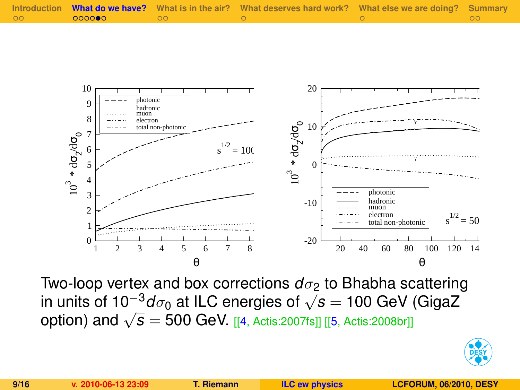| $\circ$ |  | Introduction What do we have? What is in the air? What deserves hard work? What else we are doing? Summary |  |
|---------|--|------------------------------------------------------------------------------------------------------------|--|
|         |  |                                                                                                            |  |



Two-loop vertex and box corrections  $d_{\sigma_2}$  to Bhabha scattering in units of 10−3*d*σ<sup>0</sup> at ILC energies of <sup>√</sup> *s* = 100 GeV (GigaZ option) and  $\sqrt{s} = 500$  GeV. [[\[4,](#page-15-4) Actis:2007fs]] [[\[5,](#page-15-5) Actis:2008br]]

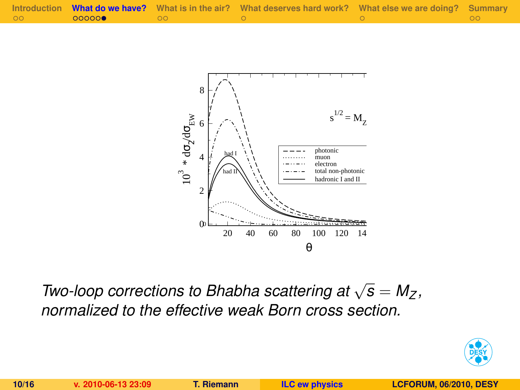



*Two-loop corrections to Bhabha scattering at*  $\sqrt{s} = M_Z$ , *normalized to the effective weak Born cross section.*

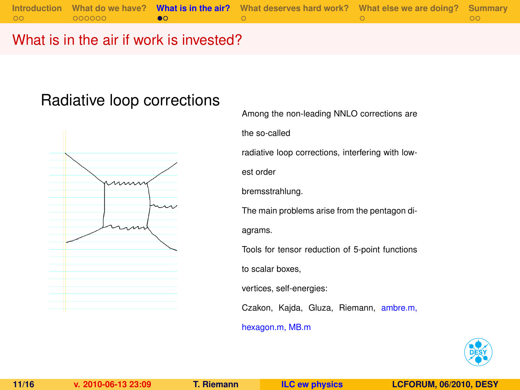### What is in the air if work is invested?

### Radiative loop corrections



Among the non-leading NNLO corrections are the so-called radiative loop corrections, interfering with lowest order bremsstrahlung. The main problems arise from the pentagon diagrams. Tools for tensor reduction of 5-point functions to scalar boxes, vertices, self-energies: Czakon, Kajda, Gluza, Riemann, ambre.m, hexagon.m, MB.m

<span id="page-10-0"></span>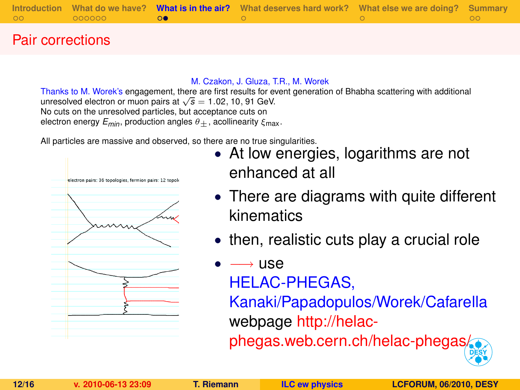|         |        | Introduction What do we have? What is in the air? What deserves hard work? What else we are doing? Summary |  |
|---------|--------|------------------------------------------------------------------------------------------------------------|--|
| $\circ$ | 000000 |                                                                                                            |  |

#### Pair corrections

#### M. Czakon, J. Gluza, T.R., M. Worek

Thanks to M. Worek's engagement, there are first results for event generation of Bhabha scattering with additional unresolved electron or muon pairs at  $\sqrt{s} = 1.02, 10, 91$  GeV. No cuts on the unresolved particles, but acceptance cuts on

electron energy  $E_{min}$ , production angles  $\theta_+$ , acollinearity  $\xi_{max}$ .

All particles are massive and observed, so there are no true singularities.



- At low energies, logarithms are not enhanced at all
- There are diagrams with quite different kinematics
- then, realistic cuts play a crucial role

## $\longrightarrow$  use

HELAC-PHEGAS,

Kanaki/Papadopulos/Worek/Cafarella webpage [http://helac-](http://helac-phegas.web.cern.ch/helac-phegas/)

[phegas.web.cern.ch/helac-phegas/](http://helac-phegas.web.cern.ch/helac-phegas/)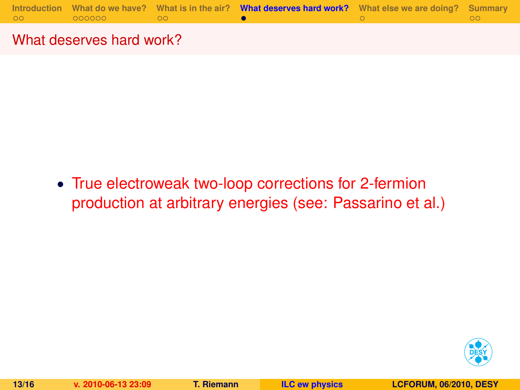

#### What deserves hard work?

• True electroweak two-loop corrections for 2-fermion production at arbitrary energies (see: Passarino et al.)

<span id="page-12-0"></span>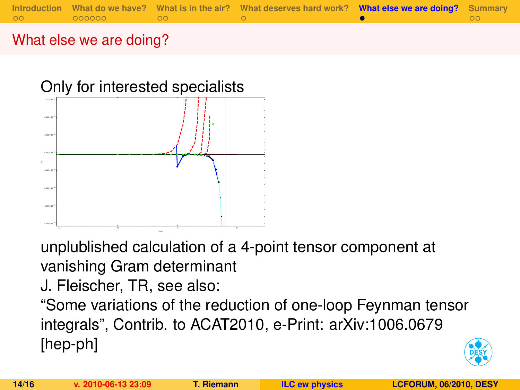

### What else we are doing?



unplublished calculation of a 4-point tensor component at vanishing Gram determinant

J. Fleischer, TR, see also:

"Some variations of the reduction of one-loop Feynman tensor integrals", Contrib. to ACAT2010, e-Print: arXiv:1006.0679 [hep-ph]

<span id="page-13-0"></span>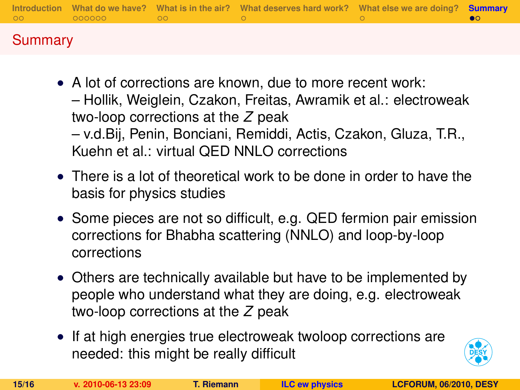| <b>OO O</b> |  | Introduction What do we have? What is in the air? What deserves hard work? What else we are doing? <b>Summary</b> |  |
|-------------|--|-------------------------------------------------------------------------------------------------------------------|--|
| Summary     |  |                                                                                                                   |  |

- A lot of corrections are known, due to more recent work: – Hollik, Weiglein, Czakon, Freitas, Awramik et al.: electroweak two-loop corrections at the *Z* peak – v.d.Bij, Penin, Bonciani, Remiddi, Actis, Czakon, Gluza, T.R., Kuehn et al.: virtual OED NNLO corrections
- There is a lot of theoretical work to be done in order to have the basis for physics studies
- Some pieces are not so difficult, e.g. QED fermion pair emission corrections for Bhabha scattering (NNLO) and loop-by-loop corrections
- Others are technically available but have to be implemented by people who understand what they are doing, e.g. electroweak two-loop corrections at the *Z* peak
- If at high energies true electroweak twoloop corrections are needed: this might be really difficult

<span id="page-14-0"></span>